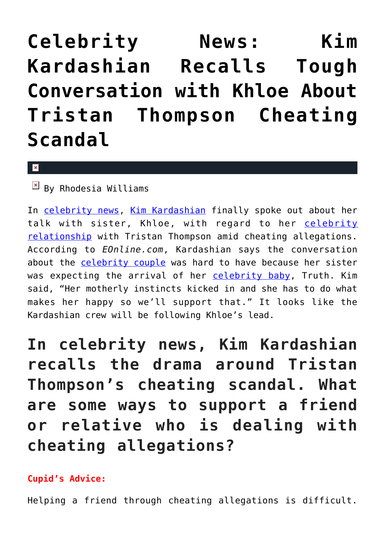## **[Celebrity News: Kim](https://cupidspulse.com/126049/celebrity-news-kim-kardashian-recalls-tough-conversation-khloe-tristan-thompson-cheating-scandal/) [Kardashian Recalls Tough](https://cupidspulse.com/126049/celebrity-news-kim-kardashian-recalls-tough-conversation-khloe-tristan-thompson-cheating-scandal/) [Conversation with Khloe About](https://cupidspulse.com/126049/celebrity-news-kim-kardashian-recalls-tough-conversation-khloe-tristan-thompson-cheating-scandal/) [Tristan Thompson Cheating](https://cupidspulse.com/126049/celebrity-news-kim-kardashian-recalls-tough-conversation-khloe-tristan-thompson-cheating-scandal/) [Scandal](https://cupidspulse.com/126049/celebrity-news-kim-kardashian-recalls-tough-conversation-khloe-tristan-thompson-cheating-scandal/)**

 $\mathbf{x}$ 

 $\overline{\mathbb{F}}$  By Rhodesia Williams

In [celebrity news,](http://www.cupidspulse.com) [Kim Kardashian](http://cupidspulse.com/86077/kim-kardashian/) finally spoke out about her talk with sister, Khloe, with regard to her [celebrity](http://cupidspulse.com/celebrity-relationships/) [relationship](http://cupidspulse.com/celebrity-relationships/) with Tristan Thompson amid cheating allegations. According to *EOnline.com*, Kardashian says the conversation about the [celebrity couple](http://cupidspulse.com/celebrity-news/celebrity-dating/) was hard to have because her sister was expecting the arrival of her [celebrity baby](http://cupidspulse.com/celebrity-relationships/celebrity-babies/), Truth. Kim said, "Her motherly instincts kicked in and she has to do what makes her happy so we'll support that." It looks like the Kardashian crew will be following Khloe's lead.

**In celebrity news, Kim Kardashian recalls the drama around Tristan Thompson's cheating scandal. What are some ways to support a friend or relative who is dealing with cheating allegations?**

## **Cupid's Advice:**

Helping a friend through cheating allegations is difficult.